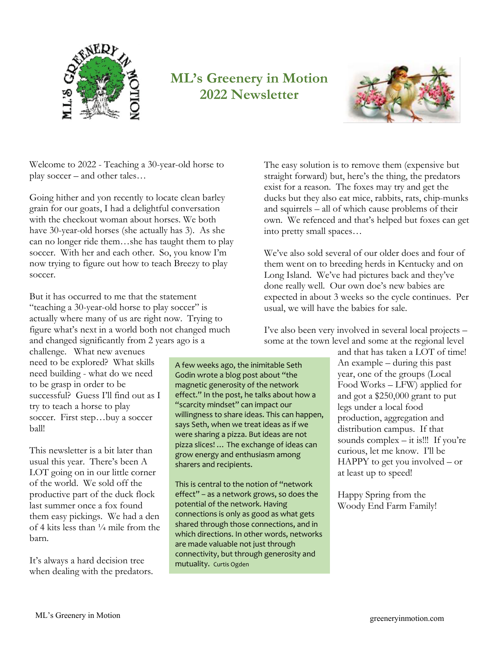

# **ML's Greenery in Motion 2022 Newsletter**



Welcome to 2022 - Teaching a 30-year-old horse to play soccer – and other tales…

Going hither and yon recently to locate clean barley grain for our goats, I had a delightful conversation with the checkout woman about horses. We both have 30-year-old horses (she actually has 3). As she can no longer ride them…she has taught them to play soccer. With her and each other. So, you know I'm now trying to figure out how to teach Breezy to play soccer.

But it has occurred to me that the statement "teaching a 30-year-old horse to play soccer" is actually where many of us are right now. Trying to figure what's next in a world both not changed much and changed significantly from 2 years ago is a

challenge. What new avenues need to be explored? What skills need building - what do we need to be grasp in order to be successful? Guess I'll find out as I try to teach a horse to play soccer. First step...buy a soccer ball!

This newsletter is a bit later than usual this year. There's been A LOT going on in our little corner of the world. We sold off the productive part of the duck flock last summer once a fox found them easy pickings. We had a den of 4 kits less than  $\frac{1}{4}$  mile from the barn.

It's always a hard decision tree when dealing with the predators.

A few weeks ago, the inimitable Seth Godin wrote a blog post about "the magnetic generosity of the network effect." In the post, he talks about how a "scarcity mindset" can impact our willingness to share ideas. This can happen, says Seth, when we treat ideas as if we were sharing a pizza. But ideas are not pizza slices! … The exchange of ideas can grow energy and enthusiasm among sharers and recipients.

This is central to the notion of "network effect" – as a network grows, so does the potential of the network. Having connections is only as good as what gets shared through those connections, and in which directions. In other words, networks are made valuable not just through connectivity, but through generosity and mutuality. Curtis Ogden

The easy solution is to remove them (expensive but straight forward) but, here's the thing, the predators exist for a reason. The foxes may try and get the ducks but they also eat mice, rabbits, rats, chip-munks and squirrels – all of which cause problems of their own. We refenced and that's helped but foxes can get into pretty small spaces…

We've also sold several of our older does and four of them went on to breeding herds in Kentucky and on Long Island. We've had pictures back and they've done really well. Our own doe's new babies are expected in about 3 weeks so the cycle continues. Per usual, we will have the babies for sale.

I've also been very involved in several local projects – some at the town level and some at the regional level

> and that has taken a LOT of time! An example – during this past year, one of the groups (Local Food Works – LFW) applied for and got a \$250,000 grant to put legs under a local food production, aggregation and distribution campus. If that sounds complex  $-$  it is!!! If you're curious, let me know. I'll be HAPPY to get you involved – or at least up to speed!

Happy Spring from the Woody End Farm Family!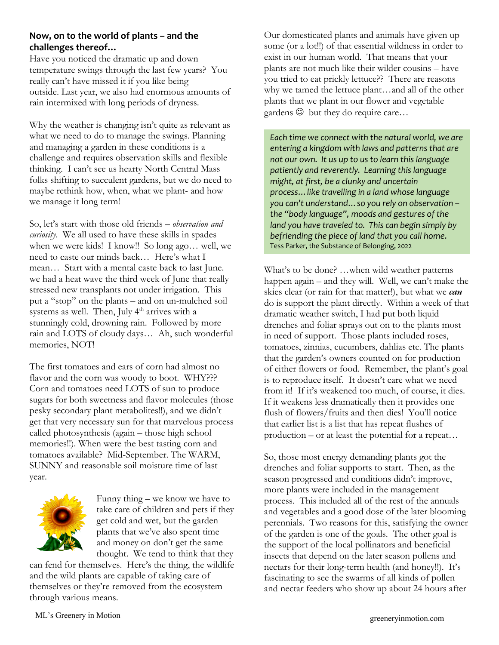## **Now, on to the world of plants – and the challenges thereof…**

Have you noticed the dramatic up and down temperature swings through the last few years? You really can't have missed it if you like being outside. Last year, we also had enormous amounts of rain intermixed with long periods of dryness.

Why the weather is changing isn't quite as relevant as what we need to do to manage the swings. Planning and managing a garden in these conditions is a challenge and requires observation skills and flexible thinking. I can't see us hearty North Central Mass folks shifting to succulent gardens, but we do need to maybe rethink how, when, what we plant- and how we manage it long term!

So, let's start with those old friends – *observation and curiosity*. We all used to have these skills in spades when we were kids! I know!! So long ago… well, we need to caste our minds back… Here's what I mean… Start with a mental caste back to last June. we had a heat wave the third week of June that really stressed new transplants not under irrigation. This put a "stop" on the plants – and on un-mulched soil systems as well. Then, July 4<sup>th</sup> arrives with a stunningly cold, drowning rain. Followed by more rain and LOTS of cloudy days… Ah, such wonderful memories, NOT!

The first tomatoes and ears of corn had almost no flavor and the corn was woody to boot. WHY??? Corn and tomatoes need LOTS of sun to produce sugars for both sweetness and flavor molecules (those pesky secondary plant metabolites!!), and we didn't get that very necessary sun for that marvelous process called photosynthesis (again – those high school memories!!). When were the best tasting corn and tomatoes available? Mid-September. The WARM, SUNNY and reasonable soil moisture time of last year.



Funny thing – we know we have to take care of children and pets if they get cold and wet, but the garden plants that we've also spent time and money on don't get the same thought. We tend to think that they

can fend for themselves. Here's the thing, the wildlife and the wild plants are capable of taking care of themselves or they're removed from the ecosystem through various means.

Our domesticated plants and animals have given up some (or a lot!!) of that essential wildness in order to exist in our human world. That means that your plants are not much like their wilder cousins – have you tried to eat prickly lettuce?? There are reasons why we tamed the lettuce plant…and all of the other plants that we plant in our flower and vegetable gardens  $\odot$  but they do require care...

*Each time we connect with the natural world, we are entering a kingdom with laws and patterns that are not our own. It us up to us to learn this language patiently and reverently. Learning this language might, at first, be a clunky and uncertain process…like travelling in a land whose language you can't understand…so you rely on observation – the "body language", moods and gestures of the land you have traveled to. This can begin simply by befriending the piece of land that you call home*. Tess Parker, the Substance of Belonging, 2022

What's to be done? …when wild weather patterns happen again – and they will. Well, we can't make the skies clear (or rain for that matter!), but what we *can* do is support the plant directly. Within a week of that dramatic weather switch, I had put both liquid drenches and foliar sprays out on to the plants most in need of support. Those plants included roses, tomatoes, zinnias, cucumbers, dahlias etc. The plants that the garden's owners counted on for production of either flowers or food. Remember, the plant's goal is to reproduce itself. It doesn't care what we need from it! If it's weakened too much, of course, it dies. If it weakens less dramatically then it provides one flush of flowers/fruits and then dies! You'll notice that earlier list is a list that has repeat flushes of production – or at least the potential for a repeat…

So, those most energy demanding plants got the drenches and foliar supports to start. Then, as the season progressed and conditions didn't improve, more plants were included in the management process. This included all of the rest of the annuals and vegetables and a good dose of the later blooming perennials. Two reasons for this, satisfying the owner of the garden is one of the goals. The other goal is the support of the local pollinators and beneficial insects that depend on the later season pollens and nectars for their long-term health (and honey!!). It's fascinating to see the swarms of all kinds of pollen and nectar feeders who show up about 24 hours after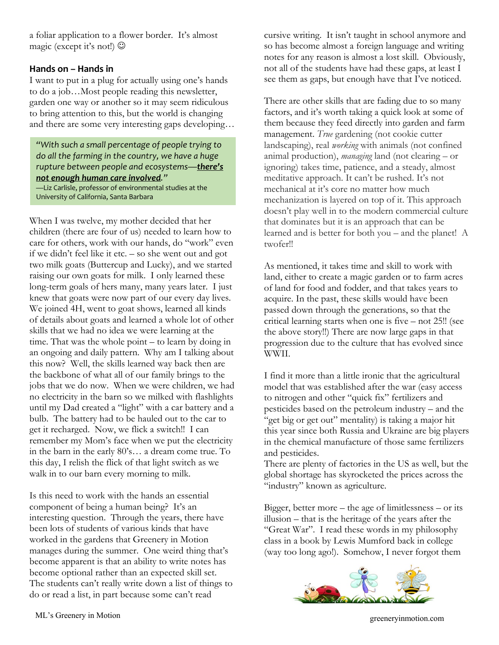a foliar application to a flower border. It's almost magic (except it's not!)  $\odot$ 

### **Hands on – Hands in**

I want to put in a plug for actually using one's hands to do a job…Most people reading this newsletter, garden one way or another so it may seem ridiculous to bring attention to this, but the world is changing and there are some very interesting gaps developing…

*"With such a small percentage of people trying to do all the farming in the country, we have a huge rupture between people and ecosystems—there's not enough human care involved."* —Liz Carlisle, professor of environmental studies at the University of California, Santa Barbara

When I was twelve, my mother decided that her children (there are four of us) needed to learn how to care for others, work with our hands, do "work" even if we didn't feel like it etc. – so she went out and got two milk goats (Buttercup and Lucky), and we started raising our own goats for milk. I only learned these long-term goals of hers many, many years later. I just knew that goats were now part of our every day lives. We joined 4H, went to goat shows, learned all kinds of details about goats and learned a whole lot of other skills that we had no idea we were learning at the time. That was the whole point – to learn by doing in an ongoing and daily pattern. Why am I talking about this now? Well, the skills learned way back then are the backbone of what all of our family brings to the jobs that we do now. When we were children, we had no electricity in the barn so we milked with flashlights until my Dad created a "light" with a car battery and a bulb. The battery had to be hauled out to the car to get it recharged. Now, we flick a switch!! I can remember my Mom's face when we put the electricity in the barn in the early 80's… a dream come true. To this day, I relish the flick of that light switch as we walk in to our barn every morning to milk.

Is this need to work with the hands an essential component of being a human being? It's an interesting question. Through the years, there have been lots of students of various kinds that have worked in the gardens that Greenery in Motion manages during the summer. One weird thing that's become apparent is that an ability to write notes has become optional rather than an expected skill set. The students can't really write down a list of things to do or read a list, in part because some can't read

cursive writing. It isn't taught in school anymore and so has become almost a foreign language and writing notes for any reason is almost a lost skill. Obviously, not all of the students have had these gaps, at least I see them as gaps, but enough have that I've noticed.

There are other skills that are fading due to so many factors, and it's worth taking a quick look at some of them because they feed directly into garden and farm management. *True* gardening (not cookie cutter landscaping), real *working* with animals (not confined animal production), *managing* land (not clearing – or ignoring) takes time, patience, and a steady, almost meditative approach. It can't be rushed. It's not mechanical at it's core no matter how much mechanization is layered on top of it. This approach doesn't play well in to the modern commercial culture that dominates but it is an approach that can be learned and is better for both you – and the planet! A twofer!!

As mentioned, it takes time and skill to work with land, either to create a magic garden or to farm acres of land for food and fodder, and that takes years to acquire. In the past, these skills would have been passed down through the generations, so that the critical learning starts when one is five – not 25!! (see the above story!!) There are now large gaps in that progression due to the culture that has evolved since WWII.

I find it more than a little ironic that the agricultural model that was established after the war (easy access to nitrogen and other "quick fix" fertilizers and pesticides based on the petroleum industry – and the "get big or get out" mentality) is taking a major hit this year since both Russia and Ukraine are big players in the chemical manufacture of those same fertilizers and pesticides.

There are plenty of factories in the US as well, but the global shortage has skyrocketed the prices across the "industry" known as agriculture.

Bigger, better more – the age of limitlessness – or its illusion – that is the heritage of the years after the "Great War". I read these words in my philosophy class in a book by Lewis Mumford back in college (way too long ago!). Somehow, I never forgot them

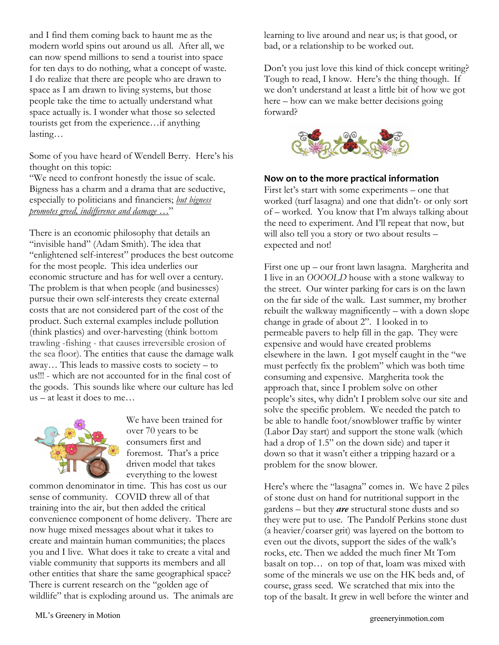and I find them coming back to haunt me as the modern world spins out around us all. After all, we can now spend millions to send a tourist into space for ten days to do nothing, what a concept of waste. I do realize that there are people who are drawn to space as I am drawn to living systems, but those people take the time to actually understand what space actually is. I wonder what those so selected tourists get from the experience…if anything lasting…

Some of you have heard of Wendell Berry. Here's his thought on this topic:

"We need to confront honestly the issue of scale. Bigness has a charm and a drama that are seductive, especially to politicians and financiers; *but bigness promotes greed, indifference and damage …*"

There is an economic philosophy that details an "invisible hand" (Adam Smith). The idea that "enlightened self-interest" produces the best outcome for the most people. This idea underlies our economic structure and has for well over a century. The problem is that when people (and businesses) pursue their own self-interests they create external costs that are not considered part of the cost of the product. Such external examples include pollution (think plastics) and over-harvesting (think bottom trawling -fishing - that causes irreversible erosion of the sea floor). The entities that cause the damage walk away… This leads to massive costs to society – to us!!! - which are not accounted for in the final cost of the goods. This sounds like where our culture has led us – at least it does to me…



We have been trained for over 70 years to be consumers first and foremost. That's a price driven model that takes everything to the lowest

common denominator in time. This has cost us our sense of community. COVID threw all of that training into the air, but then added the critical convenience component of home delivery. There are now huge mixed messages about what it takes to create and maintain human communities; the places you and I live. What does it take to create a vital and viable community that supports its members and all other entities that share the same geographical space? There is current research on the "golden age of wildlife" that is exploding around us. The animals are learning to live around and near us; is that good, or bad, or a relationship to be worked out.

Don't you just love this kind of thick concept writing? Tough to read, I know. Here's the thing though. If we don't understand at least a little bit of how we got here – how can we make better decisions going forward?



### **Now on to the more practical information**

First let's start with some experiments – one that worked (turf lasagna) and one that didn't- or only sort of – worked. You know that I'm always talking about the need to experiment. And I'll repeat that now, but will also tell you a story or two about results – expected and not!

First one up – our front lawn lasagna. Margherita and I live in an *OOOOLD* house with a stone walkway to the street. Our winter parking for cars is on the lawn on the far side of the walk. Last summer, my brother rebuilt the walkway magnificently – with a down slope change in grade of about 2". I looked in to permeable pavers to help fill in the gap. They were expensive and would have created problems elsewhere in the lawn. I got myself caught in the "we must perfectly fix the problem" which was both time consuming and expensive. Margherita took the approach that, since I problem solve on other people's sites, why didn't I problem solve our site and solve the specific problem. We needed the patch to be able to handle foot/snowblower traffic by winter (Labor Day start) and support the stone walk (which had a drop of 1.5" on the down side) and taper it down so that it wasn't either a tripping hazard or a problem for the snow blower.

Here's where the "lasagna" comes in. We have 2 piles of stone dust on hand for nutritional support in the gardens – but they *are* structural stone dusts and so they were put to use. The Pandolf Perkins stone dust (a heavier/coarser grit) was layered on the bottom to even out the divots, support the sides of the walk's rocks, etc. Then we added the much finer Mt Tom basalt on top… on top of that, loam was mixed with some of the minerals we use on the HK beds and, of course, grass seed. We scratched that mix into the top of the basalt. It grew in well before the winter and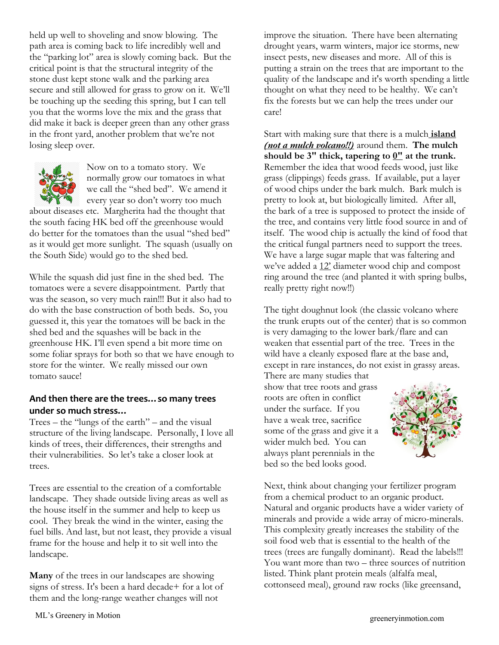held up well to shoveling and snow blowing. The path area is coming back to life incredibly well and the "parking lot" area is slowly coming back. But the critical point is that the structural integrity of the stone dust kept stone walk and the parking area secure and still allowed for grass to grow on it. We'll be touching up the seeding this spring, but I can tell you that the worms love the mix and the grass that did make it back is deeper green than any other grass in the front yard, another problem that we're not losing sleep over.



Now on to a tomato story. We normally grow our tomatoes in what we call the "shed bed". We amend it every year so don't worry too much

about diseases etc. Margherita had the thought that the south facing HK bed off the greenhouse would do better for the tomatoes than the usual "shed bed" as it would get more sunlight. The squash (usually on the South Side) would go to the shed bed.

While the squash did just fine in the shed bed. The tomatoes were a severe disappointment. Partly that was the season, so very much rain!!! But it also had to do with the base construction of both beds. So, you guessed it, this year the tomatoes will be back in the shed bed and the squashes will be back in the greenhouse HK. I'll even spend a bit more time on some foliar sprays for both so that we have enough to store for the winter. We really missed our own tomato sauce!

### **And then there are the trees…so many trees under so much stress…**

Trees – the "lungs of the earth" – and the visual structure of the living landscape. Personally, I love all kinds of trees, their differences, their strengths and their vulnerabilities. So let's take a closer look at trees.

Trees are essential to the creation of a comfortable landscape. They shade outside living areas as well as the house itself in the summer and help to keep us cool. They break the wind in the winter, easing the fuel bills. And last, but not least, they provide a visual frame for the house and help it to sit well into the landscape.

**Many** of the trees in our landscapes are showing signs of stress. It's been a hard decade+ for a lot of them and the long-range weather changes will not

improve the situation. There have been alternating drought years, warm winters, major ice storms, new insect pests, new diseases and more. All of this is putting a strain on the trees that are important to the quality of the landscape and it's worth spending a little thought on what they need to be healthy. We can't fix the forests but we can help the trees under our care!

Start with making sure that there is a mulch **island** *(not a mulch volcano!!)* around them. **The mulch**  should be  $3''$  thick, tapering to  $0''$  at the trunk. Remember the idea that wood feeds wood, just like grass (clippings) feeds grass. If available, put a layer of wood chips under the bark mulch. Bark mulch is pretty to look at, but biologically limited. After all, the bark of a tree is supposed to protect the inside of the tree, and contains very little food source in and of itself. The wood chip is actually the kind of food that the critical fungal partners need to support the trees. We have a large sugar maple that was faltering and we've added a 12' diameter wood chip and compost ring around the tree (and planted it with spring bulbs, really pretty right now!!)

The tight doughnut look (the classic volcano where the trunk erupts out of the center) that is so common is very damaging to the lower bark/flare and can weaken that essential part of the tree. Trees in the wild have a cleanly exposed flare at the base and, except in rare instances, do not exist in grassy areas.

There are many studies that show that tree roots and grass roots are often in conflict under the surface. If you have a weak tree, sacrifice some of the grass and give it a wider mulch bed. You can always plant perennials in the bed so the bed looks good.



Next, think about changing your fertilizer program from a chemical product to an organic product. Natural and organic products have a wider variety of minerals and provide a wide array of micro-minerals. This complexity greatly increases the stability of the soil food web that is essential to the health of the trees (trees are fungally dominant). Read the labels!!! You want more than two – three sources of nutrition listed. Think plant protein meals (alfalfa meal, cottonseed meal), ground raw rocks (like greensand,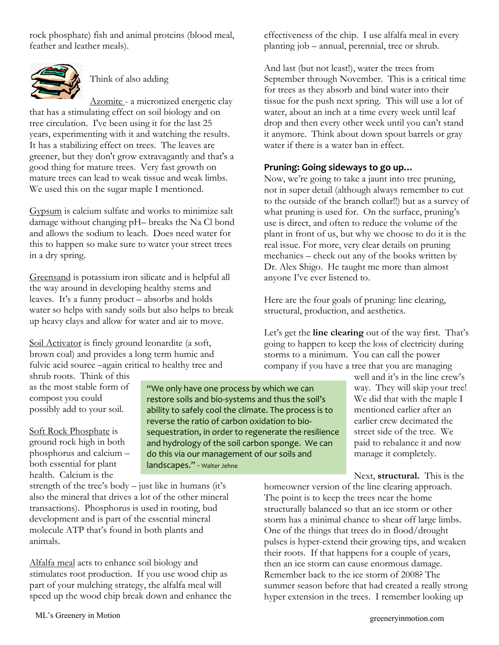rock phosphate) fish and animal proteins (blood meal, feather and leather meals).



Think of also adding

Azomite - a micronized energetic clay that has a stimulating effect on soil biology and on tree circulation. I've been using it for the last 25 years, experimenting with it and watching the results. It has a stabilizing effect on trees. The leaves are greener, but they don't grow extravagantly and that's a good thing for mature trees. Very fast growth on mature trees can lead to weak tissue and weak limbs. We used this on the sugar maple I mentioned.

Gypsum is calcium sulfate and works to minimize salt damage without changing pH– breaks the Na Cl bond and allows the sodium to leach. Does need water for this to happen so make sure to water your street trees in a dry spring.

Greensand is potassium iron silicate and is helpful all the way around in developing healthy stems and leaves. It's a funny product – absorbs and holds water so helps with sandy soils but also helps to break up heavy clays and allow for water and air to move.

Soil Activator is finely ground leonardite (a soft, brown coal) and provides a long term humic and fulvic acid source –again critical to healthy tree and

shrub roots. Think of this as the most stable form of compost you could possibly add to your soil.

Soft Rock Phosphate is ground rock high in both phosphorus and calcium – both essential for plant health. Calcium is the

"We only have one process by which we can restore soils and bio-systems and thus the soil's ability to safely cool the climate. The process is to reverse the ratio of carbon oxidation to biosequestration, in order to regenerate the resilience and hydrology of the soil carbon sponge. We can do this via our management of our soils and landscapes." - Walter Jehne

strength of the tree's body – just like in humans (it's also the mineral that drives a lot of the other mineral transactions). Phosphorus is used in rooting, bud development and is part of the essential mineral molecule ATP that's found in both plants and animals.

Alfalfa meal acts to enhance soil biology and stimulates root production. If you use wood chip as part of your mulching strategy, the alfalfa meal will speed up the wood chip break down and enhance the effectiveness of the chip. I use alfalfa meal in every planting job – annual, perennial, tree or shrub.

And last (but not least!), water the trees from September through November. This is a critical time for trees as they absorb and bind water into their tissue for the push next spring. This will use a lot of water, about an inch at a time every week until leaf drop and then every other week until you can't stand it anymore. Think about down spout barrels or gray water if there is a water ban in effect.

### **Pruning: Going sideways to go up…**

Now, we're going to take a jaunt into tree pruning, not in super detail (although always remember to cut to the outside of the branch collar!!) but as a survey of what pruning is used for. On the surface, pruning's use is direct, and often to reduce the volume of the plant in front of us, but why we choose to do it is the real issue. For more, very clear details on pruning mechanics – check out any of the books written by Dr. Alex Shigo. He taught me more than almost anyone I've ever listened to.

Here are the four goals of pruning: line clearing, structural, production, and aesthetics.

Let's get the **line clearing** out of the way first. That's going to happen to keep the loss of electricity during storms to a minimum. You can call the power company if you have a tree that you are managing

well and it's in the line crew's way. They will skip your tree! We did that with the maple I mentioned earlier after an earlier crew decimated the street side of the tree. We paid to rebalance it and now manage it completely.

Next, **structural.** This is the

homeowner version of the line clearing approach. The point is to keep the trees near the home structurally balanced so that an ice storm or other storm has a minimal chance to shear off large limbs. One of the things that trees do in flood/drought pulses is hyper-extend their growing tips, and weaken their roots. If that happens for a couple of years, then an ice storm can cause enormous damage. Remember back to the ice storm of 2008? The summer season before that had created a really strong hyper extension in the trees. I remember looking up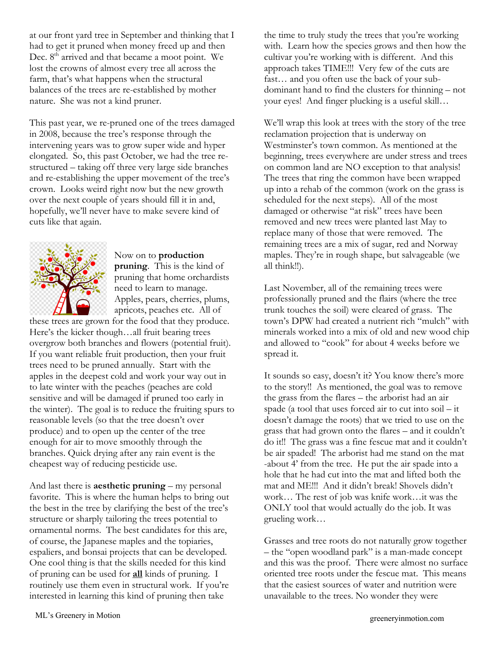at our front yard tree in September and thinking that I had to get it pruned when money freed up and then Dec. 8<sup>th</sup> arrived and that became a moot point. We lost the crowns of almost every tree all across the farm, that's what happens when the structural balances of the trees are re-established by mother nature. She was not a kind pruner.

This past year, we re-pruned one of the trees damaged in 2008, because the tree's response through the intervening years was to grow super wide and hyper elongated. So, this past October, we had the tree restructured – taking off three very large side branches and re-establishing the upper movement of the tree's crown. Looks weird right now but the new growth over the next couple of years should fill it in and, hopefully, we'll never have to make severe kind of cuts like that again.



Now on to **production pruning**. This is the kind of pruning that home orchardists need to learn to manage. Apples, pears, cherries, plums, apricots, peaches etc. All of

these trees are grown for the food that they produce. Here's the kicker though…all fruit bearing trees overgrow both branches and flowers (potential fruit). If you want reliable fruit production, then your fruit trees need to be pruned annually. Start with the apples in the deepest cold and work your way out in to late winter with the peaches (peaches are cold sensitive and will be damaged if pruned too early in the winter). The goal is to reduce the fruiting spurs to reasonable levels (so that the tree doesn't over produce) and to open up the center of the tree enough for air to move smoothly through the branches. Quick drying after any rain event is the cheapest way of reducing pesticide use.

And last there is **aesthetic pruning** – my personal favorite. This is where the human helps to bring out the best in the tree by clarifying the best of the tree's structure or sharply tailoring the trees potential to ornamental norms. The best candidates for this are, of course, the Japanese maples and the topiaries, espaliers, and bonsai projects that can be developed. One cool thing is that the skills needed for this kind of pruning can be used for **all** kinds of pruning. I routinely use them even in structural work. If you're interested in learning this kind of pruning then take

the time to truly study the trees that you're working with. Learn how the species grows and then how the cultivar you're working with is different. And this approach takes TIME!!! Very few of the cuts are fast… and you often use the back of your subdominant hand to find the clusters for thinning – not your eyes! And finger plucking is a useful skill…

We'll wrap this look at trees with the story of the tree reclamation projection that is underway on Westminster's town common. As mentioned at the beginning, trees everywhere are under stress and trees on common land are NO exception to that analysis! The trees that ring the common have been wrapped up into a rehab of the common (work on the grass is scheduled for the next steps). All of the most damaged or otherwise "at risk" trees have been removed and new trees were planted last May to replace many of those that were removed. The remaining trees are a mix of sugar, red and Norway maples. They're in rough shape, but salvageable (we all think!!).

Last November, all of the remaining trees were professionally pruned and the flairs (where the tree trunk touches the soil) were cleared of grass. The town's DPW had created a nutrient rich "mulch" with minerals worked into a mix of old and new wood chip and allowed to "cook" for about 4 weeks before we spread it.

It sounds so easy, doesn't it? You know there's more to the story!! As mentioned, the goal was to remove the grass from the flares – the arborist had an air spade (a tool that uses forced air to cut into soil – it doesn't damage the roots) that we tried to use on the grass that had grown onto the flares – and it couldn't do it!! The grass was a fine fescue mat and it couldn't be air spaded! The arborist had me stand on the mat -about 4' from the tree. He put the air spade into a hole that he had cut into the mat and lifted both the mat and ME!!! And it didn't break! Shovels didn't work… The rest of job was knife work…it was the ONLY tool that would actually do the job. It was grueling work…

Grasses and tree roots do not naturally grow together – the "open woodland park" is a man-made concept and this was the proof. There were almost no surface oriented tree roots under the fescue mat. This means that the easiest sources of water and nutrition were unavailable to the trees. No wonder they were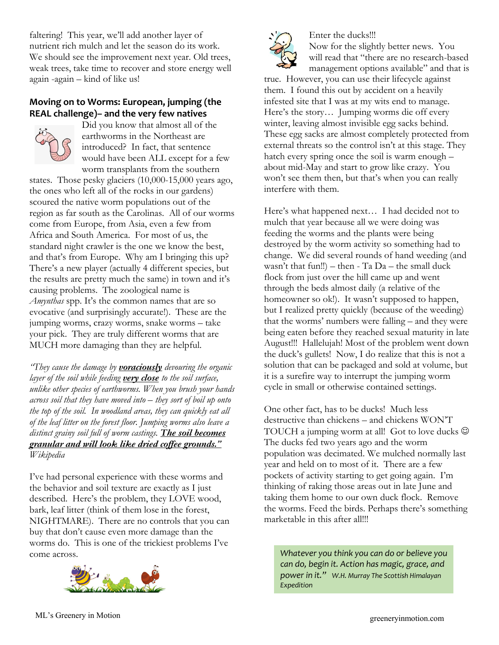faltering! This year, we'll add another layer of nutrient rich mulch and let the season do its work. We should see the improvement next year. Old trees, weak trees, take time to recover and store energy well again -again – kind of like us!

## **Moving on to Worms: European, jumping (the REAL challenge)– and the very few natives**



Did you know that almost all of the earthworms in the Northeast are introduced? In fact, that sentence would have been ALL except for a few worm transplants from the southern

states. Those pesky glaciers (10,000-15,000 years ago, the ones who left all of the rocks in our gardens) scoured the native worm populations out of the region as far south as the Carolinas. All of our worms come from Europe, from Asia, even a few from Africa and South America. For most of us, the standard night crawler is the one we know the best, and that's from Europe. Why am I bringing this up? There's a new player (actually 4 different species, but the results are pretty much the same) in town and it's causing problems. The zoological name is *Amynthas* spp. It's the common names that are so evocative (and surprisingly accurate!). These are the jumping worms, crazy worms, snake worms – take your pick. They are truly different worms that are MUCH more damaging than they are helpful.

*"They cause the damage by voraciously devouring the organic layer of the soil while feeding very close to the soil surface, unlike other species of earthworms. When you brush your hands across soil that they have moved into – they sort of boil up onto the top of the soil. In woodland areas, they can quickly eat all of the leaf litter on the forest floor. Jumping worms also leave a distinct grainy soil full of worm castings. The soil becomes granular and will look like dried coffee grounds." Wikipedia*

I've had personal experience with these worms and the behavior and soil texture are exactly as I just described. Here's the problem, they LOVE wood, bark, leaf litter (think of them lose in the forest, NIGHTMARE). There are no controls that you can buy that don't cause even more damage than the worms do. This is one of the trickiest problems I've come across.





Enter the ducks!!! Now for the slightly better news. You will read that "there are no research-based management options available" and that is

true. However, you can use their lifecycle against them. I found this out by accident on a heavily infested site that I was at my wits end to manage. Here's the story… Jumping worms die off every winter, leaving almost invisible egg sacks behind. These egg sacks are almost completely protected from external threats so the control isn't at this stage. They hatch every spring once the soil is warm enough – about mid-May and start to grow like crazy. You won't see them then, but that's when you can really interfere with them.

Here's what happened next… I had decided not to mulch that year because all we were doing was feeding the worms and the plants were being destroyed by the worm activity so something had to change. We did several rounds of hand weeding (and wasn't that fun!!) – then  $-$  Ta Da – the small duck flock from just over the hill came up and went through the beds almost daily (a relative of the homeowner so ok!). It wasn't supposed to happen, but I realized pretty quickly (because of the weeding) that the worms' numbers were falling – and they were being eaten before they reached sexual maturity in late August!!! Hallelujah! Most of the problem went down the duck's gullets! Now, I do realize that this is not a solution that can be packaged and sold at volume, but it is a surefire way to interrupt the jumping worm cycle in small or otherwise contained settings.

One other fact, has to be ducks! Much less destructive than chickens – and chickens WON'T TOUCH a jumping worm at all! Got to love ducks  $\odot$ The ducks fed two years ago and the worm population was decimated. We mulched normally last year and held on to most of it. There are a few pockets of activity starting to get going again. I'm thinking of raking those areas out in late June and taking them home to our own duck flock. Remove the worms. Feed the birds. Perhaps there's something marketable in this after all!!!

*Whatever you think you can do or believe you can do, begin it. Action has magic, grace, and power in it." W.H. Murray The Scottish Himalayan Expedition*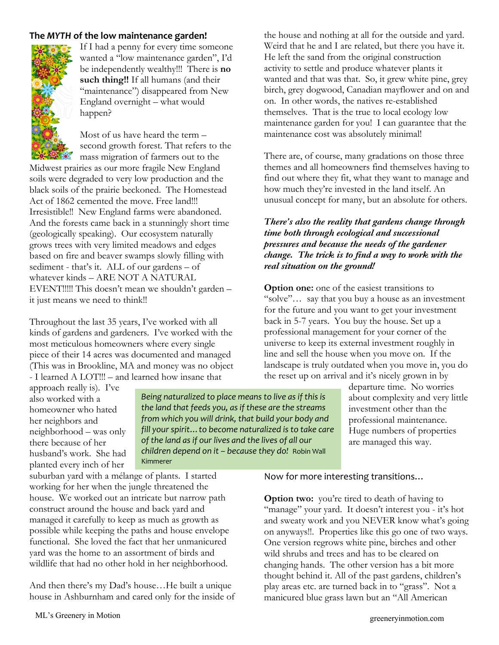### **The** *MYTH* **of the low maintenance garden!**



If I had a penny for every time someone wanted a "low maintenance garden", I'd be independently wealthy!!! There is **no such thing!!** If all humans (and their "maintenance") disappeared from New England overnight – what would happen?

Most of us have heard the term – second growth forest. That refers to the mass migration of farmers out to the

Midwest prairies as our more fragile New England soils were degraded to very low production and the black soils of the prairie beckoned. The Homestead Act of 1862 cemented the move. Free land!!! Irresistible!! New England farms were abandoned. And the forests came back in a stunningly short time (geologically speaking). Our ecosystem naturally grows trees with very limited meadows and edges based on fire and beaver swamps slowly filling with sediment - that's it. ALL of our gardens – of whatever kinds – ARE NOT A NATURAL EVENT!!!!! This doesn't mean we shouldn't garden – it just means we need to think!!

Throughout the last 35 years, I've worked with all kinds of gardens and gardeners. I've worked with the most meticulous homeowners where every single piece of their 14 acres was documented and managed (This was in Brookline, MA and money was no object - I learned A LOT!!! – and learned how insane that

the house and nothing at all for the outside and yard. Weird that he and I are related, but there you have it. He left the sand from the original construction activity to settle and produce whatever plants it wanted and that was that. So, it grew white pine, grey birch, grey dogwood, Canadian mayflower and on and on. In other words, the natives re-established themselves. That is the true to local ecology low maintenance garden for you! I can guarantee that the maintenance cost was absolutely minimal!

There are, of course, many gradations on those three themes and all homeowners find themselves having to find out where they fit, what they want to manage and how much they're invested in the land itself. An unusual concept for many, but an absolute for others.

#### *There's also the reality that gardens change through time both through ecological and successional pressures and because the needs of the gardener change. The trick is to find a way to work with the real situation on the ground!*

**Option one:** one of the easiest transitions to "solve"… say that you buy a house as an investment for the future and you want to get your investment back in 5-7 years. You buy the house. Set up a professional management for your corner of the universe to keep its external investment roughly in line and sell the house when you move on. If the landscape is truly outdated when you move in, you do the reset up on arrival and it's nicely grown in by

approach really is). I've also worked with a homeowner who hated her neighbors and neighborhood – was only there because of her husband's work. She had planted every inch of her

*Being naturalized to place means to live as if this is the land that feeds you, as if these are the streams from which you will drink, that build your body and fill your spirit…to become naturalized is to take care of the land as if our lives and the lives of all our children depend on it – because they do!* Robin Wall Kimmerer

departure time. No worries about complexity and very little investment other than the professional maintenance. Huge numbers of properties are managed this way.

suburban yard with a mélange of plants. I started working for her when the jungle threatened the house. We worked out an intricate but narrow path construct around the house and back yard and managed it carefully to keep as much as growth as possible while keeping the paths and house envelope functional. She loved the fact that her unmanicured yard was the home to an assortment of birds and wildlife that had no other hold in her neighborhood.

And then there's my Dad's house…He built a unique house in Ashburnham and cared only for the inside of Now for more interesting transitions…

**Option two:** you're tired to death of having to "manage" your yard. It doesn't interest you - it's hot and sweaty work and you NEVER know what's going on anyways!!. Properties like this go one of two ways. One version regrows white pine, birches and other wild shrubs and trees and has to be cleared on changing hands. The other version has a bit more thought behind it. All of the past gardens, children's play areas etc. are turned back in to "grass". Not a manicured blue grass lawn but an "All American